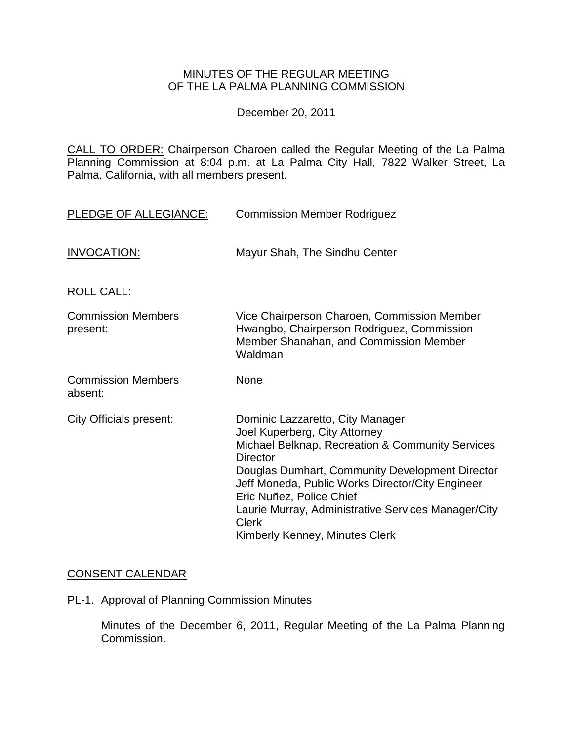## MINUTES OF THE REGULAR MEETING OF THE LA PALMA PLANNING COMMISSION

December 20, 2011

CALL TO ORDER: Chairperson Charoen [called the Regular Meeting of the La Palma](http://lapalma.granicus.com/MediaPlayerFrameHandler.php?view_id=&clip_id=633&meta_id=81092)  Planning Commission at 8:04 [p.m. at La Palma City Hall, 7822 Walker Street, La](http://lapalma.granicus.com/MediaPlayerFrameHandler.php?view_id=&clip_id=633&meta_id=81092)  [Palma, California, with all members present.](http://lapalma.granicus.com/MediaPlayerFrameHandler.php?view_id=&clip_id=633&meta_id=81092)

| PLEDGE OF ALLEGIANCE:                 | <b>Commission Member Rodriguez</b>                                                                                                                                                                                                                                                                                                                                                   |
|---------------------------------------|--------------------------------------------------------------------------------------------------------------------------------------------------------------------------------------------------------------------------------------------------------------------------------------------------------------------------------------------------------------------------------------|
| <b>INVOCATION:</b>                    | Mayur Shah, The Sindhu Center                                                                                                                                                                                                                                                                                                                                                        |
| <b>ROLL CALL:</b>                     |                                                                                                                                                                                                                                                                                                                                                                                      |
| <b>Commission Members</b><br>present: | Vice Chairperson Charoen, Commission Member<br>Hwangbo, Chairperson Rodriguez, Commission<br>Member Shanahan, and Commission Member<br>Waldman                                                                                                                                                                                                                                       |
| <b>Commission Members</b><br>absent:  | None                                                                                                                                                                                                                                                                                                                                                                                 |
| <b>City Officials present:</b>        | Dominic Lazzaretto, City Manager<br>Joel Kuperberg, City Attorney<br>Michael Belknap, Recreation & Community Services<br><b>Director</b><br>Douglas Dumhart, Community Development Director<br>Jeff Moneda, Public Works Director/City Engineer<br>Eric Nuñez, Police Chief<br>Laurie Murray, Administrative Services Manager/City<br><b>Clerk</b><br>Kimberly Kenney, Minutes Clerk |

## [CONSENT CALENDAR](http://lapalma.granicus.com/MediaPlayerFrameHandler.php?view_id=&clip_id=633&meta_id=81181)

PL-1. Approval of Planning Commission Minutes

Minutes of the December 6, 2011, Regular Meeting of the La Palma Planning Commission.